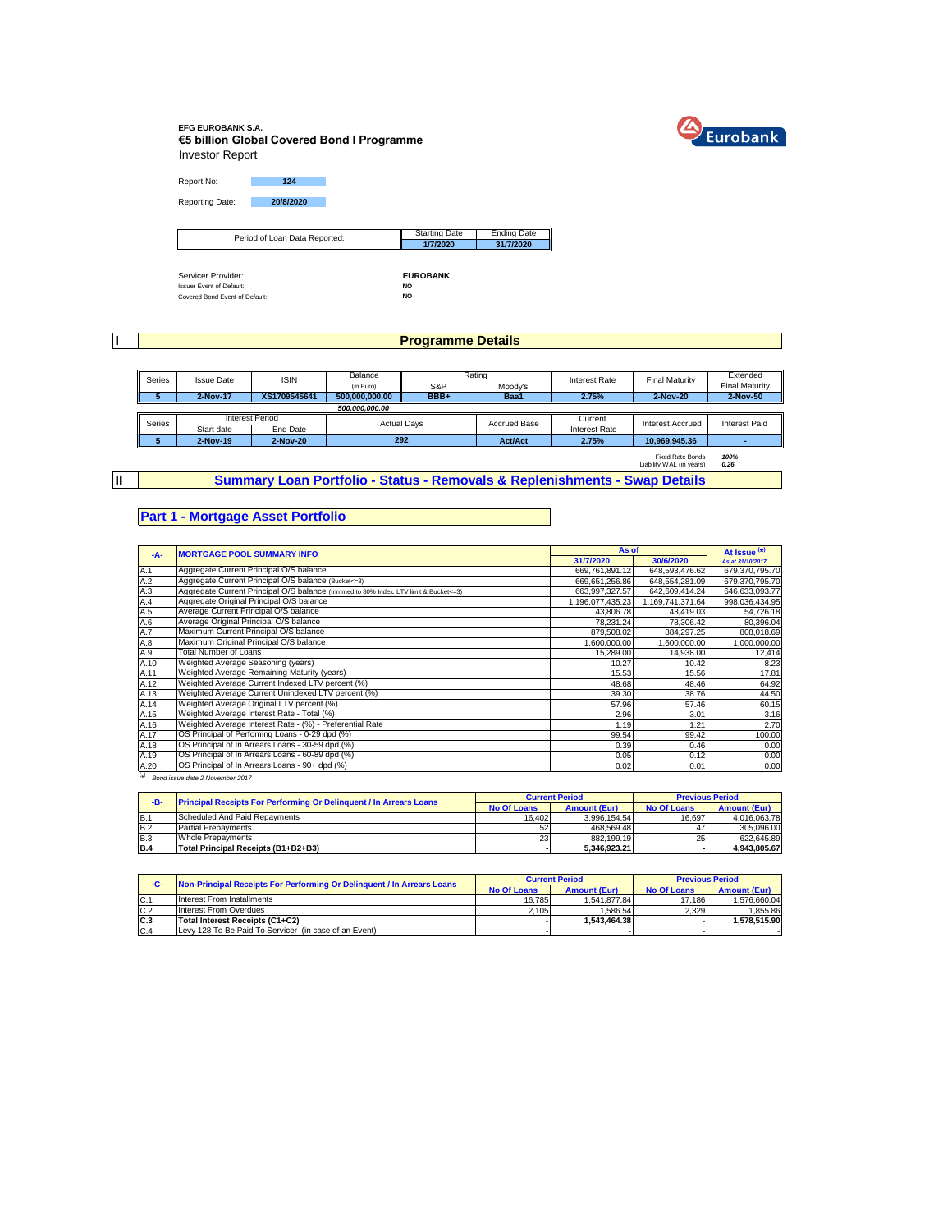

### **EFG EUROBANK S.A. €5 billion Global Covered Bond I Programme** Investor Report

Report No: **124** Reporting Date: **20/8/2020**

| Period of Loan Data Reported:   | <b>Starting Date</b> | <b>Ending Date</b> |
|---------------------------------|----------------------|--------------------|
| ∥                               | 1/7/2020             | 31/7/2020          |
|                                 |                      |                    |
|                                 |                      |                    |
| Servicer Provider:              | <b>EUROBANK</b>      |                    |
| <b>Issuer Event of Default:</b> | <b>NO</b>            |                    |
| Covered Bond Event of Default:  | NO                   |                    |

**I**

# **Programme Details**

| Series | <b>ISIN</b><br><b>Issue Date</b> |                 | Rating<br>Balance  |              | Interest Rate  | <b>Final Maturity</b> | Extended                |                       |                                |  |                         |               |
|--------|----------------------------------|-----------------|--------------------|--------------|----------------|-----------------------|-------------------------|-----------------------|--------------------------------|--|-------------------------|---------------|
|        |                                  |                 | (in Euro)          | S&P          | Moody's        |                       |                         | <b>Final Maturity</b> |                                |  |                         |               |
|        | 2-Nov-17                         | XS1709545641    | 500.000.000.00     | BBB+<br>Baa1 |                | 2.75%                 | 2-Nov-20                | 2-Nov-50              |                                |  |                         |               |
|        | 500,000,000.00                   |                 |                    |              |                |                       |                         |                       |                                |  |                         |               |
| Series |                                  | Interest Period | <b>Actual Days</b> |              |                |                       |                         |                       | Current<br><b>Accrued Base</b> |  | <b>Interest Accrued</b> | Interest Paid |
|        | Start date                       | End Date        |                    |              |                | <b>Interest Rate</b>  |                         |                       |                                |  |                         |               |
|        | 2-Nov-19                         | 2-Nov-20        | 292                |              | <b>Act/Act</b> | 2.75%                 | 10.969.945.36           |                       |                                |  |                         |               |
|        |                                  |                 |                    |              |                |                       | <b>Fixed Rate Bonds</b> | 100%                  |                                |  |                         |               |

**II**

**Summary Loan Portfolio - Status - Removals & Replenishments - Swap Details**

## **Part 1 - Mortgage Asset Portfolio**

| $-A-$     | <b>MORTGAGE POOL SUMMARY INFO</b>                                                       | As of            | At Issue <sup>(*)</sup> |                  |
|-----------|-----------------------------------------------------------------------------------------|------------------|-------------------------|------------------|
|           |                                                                                         | 31/7/2020        | 30/6/2020               | As at 31/10/2017 |
| A.1       | Aggregate Current Principal O/S balance                                                 | 669,761,891.12   | 648.593.476.62          | 679,370,795.70   |
| A.2       | Aggregate Current Principal O/S balance (Bucket<=3)                                     | 669.651.256.86   | 648.554.281.09          | 679.370.795.70   |
| A.3       | Aggregate Current Principal O/S balance (trimmed to 80% Index. LTV limit & Bucket <= 3) | 663,997,327.57   | 642,609,414.24          | 646,633,093.77   |
| A.4       | Aggregate Original Principal O/S balance                                                | 1,196,077,435.23 | 1,169,741,371.64        | 998,036,434.95   |
| A.5       | Average Current Principal O/S balance                                                   | 43,806.78        | 43,419.03               | 54,726.18        |
| A.6       | Average Original Principal O/S balance                                                  | 78.231.24        | 78.306.42               | 80,396.04        |
| A.7       | Maximum Current Principal O/S balance                                                   | 879.508.02       | 884.297.25              | 808,018.69       |
| A.8       | Maximum Original Principal O/S balance                                                  | 1.600.000.00     | 1.600.000.00            | 1,000,000.00     |
| A.9       | Total Number of Loans                                                                   | 15.289.00        | 14.938.00               | 12,414           |
| A.10      | Weighted Average Seasoning (years)                                                      | 10.27            | 10.42                   | 8.23             |
| A.11      | Weighted Average Remaining Maturity (years)                                             | 15.53            | 15.56                   | 17.81            |
| A.12      | Weighted Average Current Indexed LTV percent (%)                                        | 48.68            | 48.46                   | 64.92            |
| A.13      | Weighted Average Current Unindexed LTV percent (%)                                      | 39.30            | 38.76                   | 44.50            |
| A.14      | Weighted Average Original LTV percent (%)                                               | 57.96            | 57.46                   | 60.15            |
| A.15      | Weighted Average Interest Rate - Total (%)                                              | 2.96             | 3.01                    | 3.16             |
| A.16      | Weighted Average Interest Rate - (%) - Preferential Rate                                | 1.19             | 1.21                    | 2.70             |
| A.17      | OS Principal of Perfoming Loans - 0-29 dpd (%)                                          | 99.54            | 99.42                   | 100.00           |
| A.18      | OS Principal of In Arrears Loans - 30-59 dpd (%)                                        | 0.39             | 0.46                    | 0.00             |
| A.19      | OS Principal of In Arrears Loans - 60-89 dpd (%)                                        | 0.05             | 0.12                    | 0.00             |
| A.20      | OS Principal of In Arrears Loans - 90+ dpd (%)                                          | 0.02             | 0.01                    | 0.00             |
| $(\star)$ | Bond issue date 2 November 2017                                                         |                  |                         |                  |

| -B-        | <b>Principal Receipts For Performing Or Delinquent / In Arrears Loans</b> |                    | <b>Current Period</b> | <b>Previous Period</b> |                     |  |
|------------|---------------------------------------------------------------------------|--------------------|-----------------------|------------------------|---------------------|--|
|            |                                                                           | <b>No Of Loans</b> | <b>Amount (Eur)</b>   | <b>No Of Loans</b>     | <b>Amount (Eur)</b> |  |
| B.1        | Scheduled And Paid Repayments                                             | 16.402             | 3.996.154.54          | 16.697                 | 4.016.063.78        |  |
| <b>B.2</b> | <b>Partial Prepayments</b>                                                |                    | 468.569.48            |                        | 305.096.00          |  |
| <b>B.3</b> | <b>Whole Prepayments</b>                                                  | 23                 | 882.199.19            | 25                     | 622.645.89          |  |
| <b>B.4</b> | Total Principal Receipts (B1+B2+B3)                                       |                    | 5.346.923.21          |                        | 4.943.805.67        |  |

| -C-            | Non-Principal Receipts For Performing Or Delinquent / In Arrears Loans |                    | <b>Current Period</b> | <b>Previous Period</b> |                     |  |
|----------------|------------------------------------------------------------------------|--------------------|-----------------------|------------------------|---------------------|--|
|                |                                                                        | <b>No Of Loans</b> | <b>Amount (Eur)</b>   | <b>No Of Loans</b>     | <b>Amount (Eur)</b> |  |
| $C$ .          | Interest From Installments                                             | 16.785             | 1.541.877.84          | 17.186                 | 1.576.660.04        |  |
| C.2            | <b>Interest From Overdues</b>                                          | 2.105              | 1.586.54              | 2.329                  | 1.855.86            |  |
| C <sub>3</sub> | Total Interest Receipts (C1+C2)                                        |                    | 1.543.464.38          |                        | .578.515.90         |  |
| C.4            | Levy 128 To Be Paid To Servicer (in case of an Event)                  |                    |                       |                        |                     |  |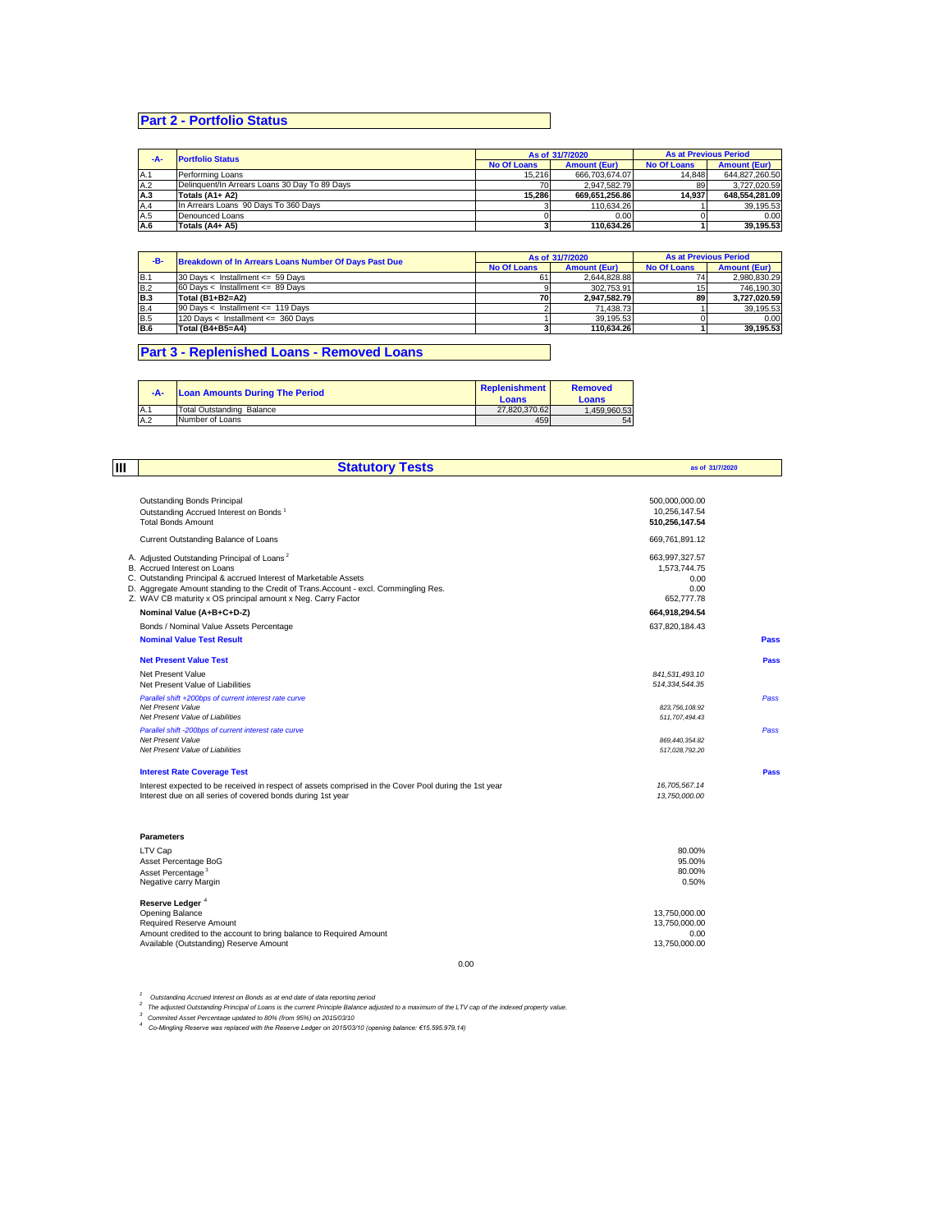# **Part 2 - Portfolio Status**

| -A- | <b>Portfolio Status</b>                       |                    | As of 31/7/2020     | <b>As at Previous Period</b> |                     |
|-----|-----------------------------------------------|--------------------|---------------------|------------------------------|---------------------|
|     |                                               | <b>No Of Loans</b> | <b>Amount (Eur)</b> | <b>No Of Loans</b>           | <b>Amount (Eur)</b> |
| A.1 | Performing Loans                              | 15.216             | 666.703.674.07      | 14.848                       | 644.827.260.50      |
| A.2 | Delinguent/In Arrears Loans 30 Day To 89 Days |                    | 2.947.582.79        | 89                           | 3.727.020.59        |
| A.3 | Totals (A1+ A2)                               | 15.286             | 669.651.256.86      | 14.937                       | 648.554.281.09      |
| A.4 | In Arrears Loans 90 Days To 360 Days          |                    | 110.634.26          |                              | 39.195.53           |
| A.5 | Denounced Loans                               |                    | 0.00                |                              | 0.00                |
| A.6 | Totals (A4+ A5)                               |                    | 110.634.26          |                              | 39.195.53           |

| -B-        | <b>Breakdown of In Arrears Loans Number Of Days Past Due</b> |                    | As of 31/7/2020     | <b>As at Previous Period</b> |                     |  |
|------------|--------------------------------------------------------------|--------------------|---------------------|------------------------------|---------------------|--|
|            |                                                              | <b>No Of Loans</b> | <b>Amount (Eur)</b> | <b>No Of Loans</b>           | <b>Amount (Eur)</b> |  |
| B.1        | 30 Days < Installment $\leq$ 59 Days                         | 61                 | 2.644.828.88        | 74                           | 2.980.830.29        |  |
| <b>B.2</b> | 60 Days < Installment <= $89$ Days                           |                    | 302.753.91          | 15                           | 746.190.30          |  |
| <b>B.3</b> | Total (B1+B2=A2)                                             | 70                 | 2.947.582.79        | 89                           | 3.727.020.59        |  |
| <b>B.4</b> | 90 Days < Installment <= 119 Days                            |                    | 71.438.73           |                              | 39.195.53           |  |
| <b>B.5</b> | 120 Days < Installment <= 360 Days                           |                    | 39.195.53           |                              | 0.00                |  |
| <b>B.6</b> | Total (B4+B5=A4)                                             |                    | 110.634.26          |                              | 39.195.53           |  |

## **Part 3 - Replenished Loans - Removed Loans**

| $-A-$ | <b>Loan Amounts During The Period</b> | Replenishment<br>Loans | <b>Removed</b><br>Loans |
|-------|---------------------------------------|------------------------|-------------------------|
| A.1   | <b>Total Outstanding Balance</b>      | 27.820.370.62          | 1.459.960.53            |
| A.2   | Number of Loans                       | 459                    | 54                      |

| Ш<br><b>Statutory Tests</b> |                                                                                                                                                       |                                    | as of 31/7/2020 |  |
|-----------------------------|-------------------------------------------------------------------------------------------------------------------------------------------------------|------------------------------------|-----------------|--|
|                             |                                                                                                                                                       |                                    |                 |  |
|                             | Outstanding Bonds Principal                                                                                                                           | 500,000,000.00                     |                 |  |
|                             | Outstanding Accrued Interest on Bonds <sup>1</sup>                                                                                                    | 10,256,147.54                      |                 |  |
|                             | <b>Total Bonds Amount</b>                                                                                                                             | 510.256.147.54                     |                 |  |
|                             | Current Outstanding Balance of Loans                                                                                                                  | 669,761,891.12                     |                 |  |
|                             | A. Adjusted Outstanding Principal of Loans <sup>2</sup>                                                                                               | 663,997,327.57                     |                 |  |
|                             | B. Accrued Interest on Loans                                                                                                                          | 1.573.744.75                       |                 |  |
|                             | C. Outstanding Principal & accrued Interest of Marketable Assets                                                                                      | 0.00                               |                 |  |
|                             | D. Aggregate Amount standing to the Credit of Trans. Account - excl. Commingling Res.<br>Z. WAV CB maturity x OS principal amount x Neg. Carry Factor | 0.00<br>652,777,78                 |                 |  |
|                             | Nominal Value (A+B+C+D-Z)                                                                                                                             |                                    |                 |  |
|                             |                                                                                                                                                       | 664,918,294.54                     |                 |  |
|                             | Bonds / Nominal Value Assets Percentage                                                                                                               | 637,820,184.43                     |                 |  |
|                             | <b>Nominal Value Test Result</b>                                                                                                                      |                                    | Pass            |  |
|                             | <b>Net Present Value Test</b>                                                                                                                         |                                    | Pass            |  |
|                             | Net Present Value                                                                                                                                     | 841,531,493.10                     |                 |  |
|                             | Net Present Value of Liabilities                                                                                                                      | 514, 334, 544. 35                  |                 |  |
|                             | Parallel shift +200bps of current interest rate curve                                                                                                 |                                    | Pass            |  |
|                             | Net Present Value                                                                                                                                     | 823,756,108.92                     |                 |  |
|                             | Net Present Value of Liabilities                                                                                                                      | 511,707,494.43                     |                 |  |
|                             | Parallel shift -200bps of current interest rate curve<br>Net Present Value                                                                            |                                    | Pass            |  |
|                             | Net Present Value of Liabilities                                                                                                                      | 869, 440, 354.82<br>517,028,792.20 |                 |  |
|                             |                                                                                                                                                       |                                    |                 |  |
|                             | <b>Interest Rate Coverage Test</b>                                                                                                                    |                                    | Pass            |  |
|                             | Interest expected to be received in respect of assets comprised in the Cover Pool during the 1st year                                                 | 16,705,567.14                      |                 |  |
|                             | Interest due on all series of covered bonds during 1st year                                                                                           | 13,750,000.00                      |                 |  |
|                             | <b>Parameters</b>                                                                                                                                     |                                    |                 |  |
|                             | LTV Cap                                                                                                                                               | 80.00%                             |                 |  |
|                             | Asset Percentage BoG                                                                                                                                  | 95.00%                             |                 |  |
|                             | Asset Percentage <sup>3</sup>                                                                                                                         | 80.00%                             |                 |  |
|                             | Negative carry Margin                                                                                                                                 | 0.50%                              |                 |  |
|                             | Reserve Ledger <sup>4</sup>                                                                                                                           |                                    |                 |  |
|                             | Opening Balance                                                                                                                                       | 13,750,000.00                      |                 |  |
|                             | Required Reserve Amount<br>Amount credited to the account to bring balance to Required Amount                                                         | 13,750,000.00<br>0.00              |                 |  |
|                             | Available (Outstanding) Reserve Amount                                                                                                                | 13,750,000.00                      |                 |  |

0.00

<sup>1</sup> Outstanding Accrued Interest on Bonds as at end date of data reporting period<br><sup>2</sup> The adjusted Outstanding Principal of Loans is the current Principle Balance adjusted to a maximum of the LTV cap of the indexed propert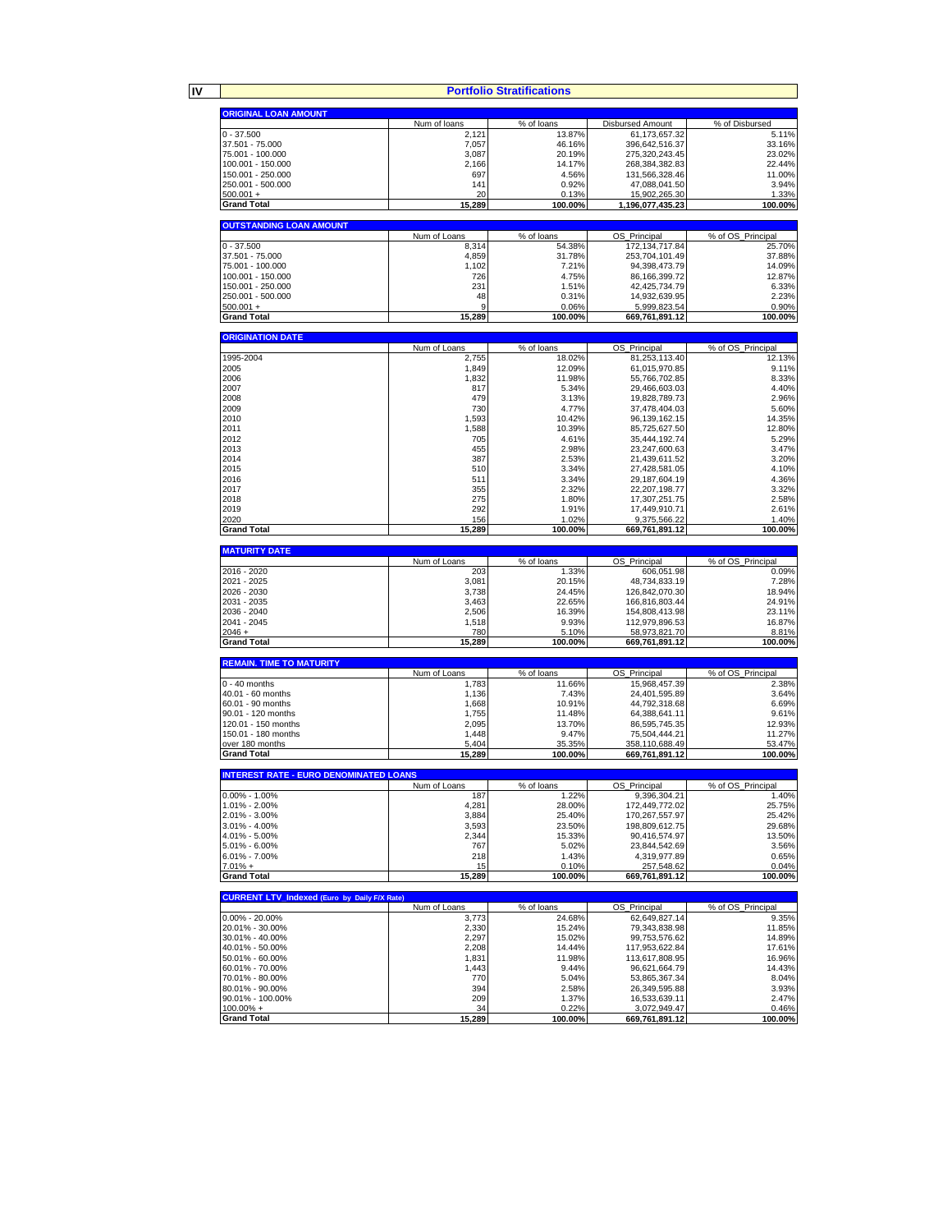**IV**

| <b>Portfolio Stratifications</b>                    |                       |                      |                                  |                            |  |
|-----------------------------------------------------|-----------------------|----------------------|----------------------------------|----------------------------|--|
| <b>ORIGINAL LOAN AMOUNT</b>                         |                       |                      |                                  |                            |  |
|                                                     | Num of loans          | % of loans           | <b>Disbursed Amount</b>          | % of Disbursed             |  |
| $0 - 37.500$                                        | 2,121                 | 13.87%               | 61,173,657.32                    | 5.11%                      |  |
| 37.501 - 75.000                                     | 7,057                 | 46.16%               | 396,642,516.37                   | 33.16%                     |  |
| 75.001 - 100.000                                    | 3,087                 | 20.19%               | 275,320,243.45                   | 23.02%                     |  |
| 100.001 - 150.000                                   | 2,166                 | 14.17%               | 268,384,382.83                   | 22.44%                     |  |
| 150.001 - 250.000                                   | 697                   | 4.56%                | 131,566,328.46                   | 11.00%                     |  |
| 250.001 - 500.000                                   | 141                   | 0.92%                | 47,088,041.50                    | 3.94%                      |  |
| $500.001 +$                                         | 20                    | 0.13%                | 15,902,265.30                    | 1.33%                      |  |
| <b>Grand Total</b>                                  | 15,289                | 100.00%              | 1,196,077,435.23                 | 100.00%                    |  |
| <b>OUTSTANDING LOAN AMOUNT</b>                      |                       |                      |                                  |                            |  |
|                                                     | Num of Loans          | % of loans           | OS_Principal                     | % of OS_Principal          |  |
| $0 - 37.500$                                        | 8,314                 | 54.38%               | 172, 134, 717.84                 | 25.70%                     |  |
| 37.501 - 75.000                                     | 4,859                 | 31.78%               | 253,704,101.49                   | 37.88%                     |  |
| 75.001 - 100.000                                    | 1,102                 | 7.21%                | 94,398,473.79                    | 14.09%                     |  |
| 100.001 - 150.000                                   | 726                   | 4.75%                | 86,166,399.72                    | 12.87%                     |  |
| 150.001 - 250.000                                   | 231                   | 1.51%                | 42,425,734.79                    | 6.33%                      |  |
| 250.001 - 500.000                                   | 48<br>g               | 0.31%                | 14,932,639.95                    | 2.23%<br>0.90%             |  |
| $500.001 +$<br><b>Grand Total</b>                   | 15,289                | 0.06%<br>100.00%     | 5,999,823.54<br>669,761,891.12   | 100.00%                    |  |
|                                                     |                       |                      |                                  |                            |  |
| <b>ORIGINATION DATE</b>                             |                       |                      |                                  |                            |  |
|                                                     | Num of Loans          | % of loans           | OS_Principal                     | % of OS_Principal          |  |
| 1995-2004                                           | 2,755                 | 18.02%               | 81,253,113.40                    | 12.13%                     |  |
| 2005                                                | 1,849                 | 12.09%               | 61,015,970.85                    | 9.11%                      |  |
| 2006                                                | 1,832                 | 11.98%               | 55,766,702.85                    | 8.33%                      |  |
| 2007                                                | 817                   | 5.34%                | 29,466,603.03                    | 4.40%                      |  |
| 2008                                                | 479                   | 3.13%                | 19,828,789.73                    | 2.96%                      |  |
| 2009<br>2010                                        | 730<br>1,593          | 4.77%<br>10.42%      | 37,478,404.03                    | 5.60%<br>14.35%            |  |
| 2011                                                | 1,588                 | 10.39%               | 96,139,162.15<br>85.725.627.50   | 12.80%                     |  |
| 2012                                                | 705                   | 4.61%                | 35,444,192.74                    | 5.29%                      |  |
| 2013                                                | 455                   | 2.98%                | 23,247,600.63                    | 3.47%                      |  |
| 2014                                                | 387                   | 2.53%                | 21,439,611.52                    | 3.20%                      |  |
| 2015                                                | 510                   | 3.34%                | 27,428,581.05                    | 4.10%                      |  |
| 2016                                                | 511                   | 3.34%                | 29,187,604.19                    | 4.36%                      |  |
| 2017                                                | 355                   | 2.32%                | 22,207,198.77                    | 3.32%                      |  |
| 2018                                                | 275                   | 1.80%                | 17,307,251.75                    | 2.58%                      |  |
| 2019                                                | 292                   | 1.91%                | 17,449,910.71                    | 2.61%                      |  |
| 2020<br><b>Grand Total</b>                          | 156<br>15,289         | 1.02%<br>100.00%     | 9,375,566.22<br>669,761,891.12   | 1.40%<br>100.00%           |  |
|                                                     |                       |                      |                                  |                            |  |
| <b>MATURITY DATE</b>                                |                       |                      |                                  |                            |  |
|                                                     | Num of Loans          | % of loans           | ОS<br>Principal                  | % of OS Principal          |  |
| 2016 - 2020                                         | 203                   | 1.33%                | 606,051.98                       | 0.09%                      |  |
| 2021 - 2025                                         | 3,081                 | 20.15%               | 48,734,833.19                    | 7.28%                      |  |
| 2026 - 2030                                         | 3,738                 | 24.45%               | 126,842,070.30                   | 18.94%                     |  |
| 2031 - 2035<br>2036 - 2040                          | 3,463<br>2,506        | 22.65%<br>16.39%     | 166,816,803.44<br>154,808,413.98 | 24.91%<br>23.11%           |  |
| 2041 - 2045                                         | 1,518                 | 9.93%                | 112,979,896.53                   | 16.87%                     |  |
| $2046 +$                                            | 780                   | 5.10%                | 58,973,821.70                    | 8.81%                      |  |
| <b>Grand Total</b>                                  | 15,289                | 100.00%              | 669,761,891.12                   | 100.00%                    |  |
|                                                     |                       |                      |                                  |                            |  |
| <b>REMAIN. TIME TO MATURITY</b>                     |                       |                      |                                  |                            |  |
| $0 - 40$ months                                     | Num of Loans<br>1,783 | % of loans<br>11.66% | ΟS<br>Principal<br>15,968,457.39 | % of OS Principal<br>2.38% |  |
| 40.01 - 60 months                                   | 1,136                 | 7.43%                | 24,401,595.89                    | 3.64%                      |  |
| 60.01 - 90 months                                   | 1,668                 | 10.91%               | 44,792,318.68                    | 6.69%                      |  |
| 90.01 - 120 months                                  | 1,755                 | 11.48%               | 64,388,641.11                    | 9.61%                      |  |
| 120.01 - 150 months                                 | 2,095                 | 13.70%               | 86,595,745.35                    | 12.93%                     |  |
| 150.01 - 180 months                                 | 1,448                 | 9.47%                | 75,504,444.21                    | 11.27%                     |  |
| over 180 months                                     | 5,404                 | 35.35%               | 358,110,688.49                   | 53.47%                     |  |
| <b>Grand Total</b>                                  | 15,289                | 100.00%              | 669,761,891.12                   | 100.00%                    |  |
| <b>INTEREST RATE - EURO DENOMINATED LOANS</b>       |                       |                      |                                  |                            |  |
|                                                     |                       |                      | 'rıncıpaı                        |                            |  |
| $0.00\% - 1.00\%$                                   | 187                   | 1.22%                | 9,396,304.21                     | 1.40%                      |  |
| 1.01% - 2.00%                                       | 4,281                 | 28.00%               | 172,449,772.02                   | 25.75%                     |  |
| 2.01% - 3.00%                                       | 3,884                 | 25.40%               | 170,267,557.97                   | 25.42%                     |  |
| 3.01% - 4.00%                                       | 3,593                 | 23.50%               | 198,809,612.75                   | 29.68%                     |  |
| 4.01% - 5.00%                                       | 2,344                 | 15.33%               | 90,416,574.97                    | 13.50%                     |  |
| $5.01\% - 6.00\%$                                   | 767                   | 5.02%                | 23,844,542.69                    | 3.56%                      |  |
| 6.01% - 7.00%<br>$7.01% +$                          | 218<br>15             | 1.43%<br>0.10%       | 4,319,977.89<br>257,548.62       | 0.65%<br>0.04%             |  |
| <b>Grand Total</b>                                  | 15,289                | 100.00%              | 669,761,891.12                   | 100.00%                    |  |
|                                                     |                       |                      |                                  |                            |  |
| <b>CURRENT LTV Indexed (Euro by Daily F/X Rate)</b> |                       |                      |                                  |                            |  |
|                                                     | Num of Loans          | % of loans           | OS_Principal                     | % of OS_Principal          |  |
| $0.00\% - 20.00\%$<br>20.01% - 30.00%               | 3,773<br>2,330        | 24.68%<br>15.24%     | 62,649,827.14<br>79,343,838.98   | 9.35%<br>11.85%            |  |
| 30.01% - 40.00%                                     | 2,297                 | 15.02%               | 99,753,576.62                    | 14.89%                     |  |
| 40.01% - 50.00%                                     | 2,208                 | 14.44%               | 117,953,622.84                   | 17.61%                     |  |
| 50.01% - 60.00%                                     | 1,831                 | 11.98%               | 113,617,808.95                   | 16.96%                     |  |
| 60.01% - 70.00%                                     | 1,443                 | 9.44%                | 96,621,664.79                    | 14.43%                     |  |
| 70.01% - 80.00%                                     | 770                   | 5.04%                | 53,865,367.34                    | 8.04%                      |  |
| 80.01% - 90.00%                                     | 394                   | 2.58%                | 26,349,595.88                    | 3.93%                      |  |
| 90.01% - 100.00%                                    | 209                   | 1.37%                | 16,533,639.11                    | 2.47%                      |  |
| $100.00\% +$<br><b>Grand Total</b>                  | 34<br>15,289          | 0.22%<br>100.00%     | 3,072,949.47<br>669,761,891.12   | 0.46%<br>100.00%           |  |
|                                                     |                       |                      |                                  |                            |  |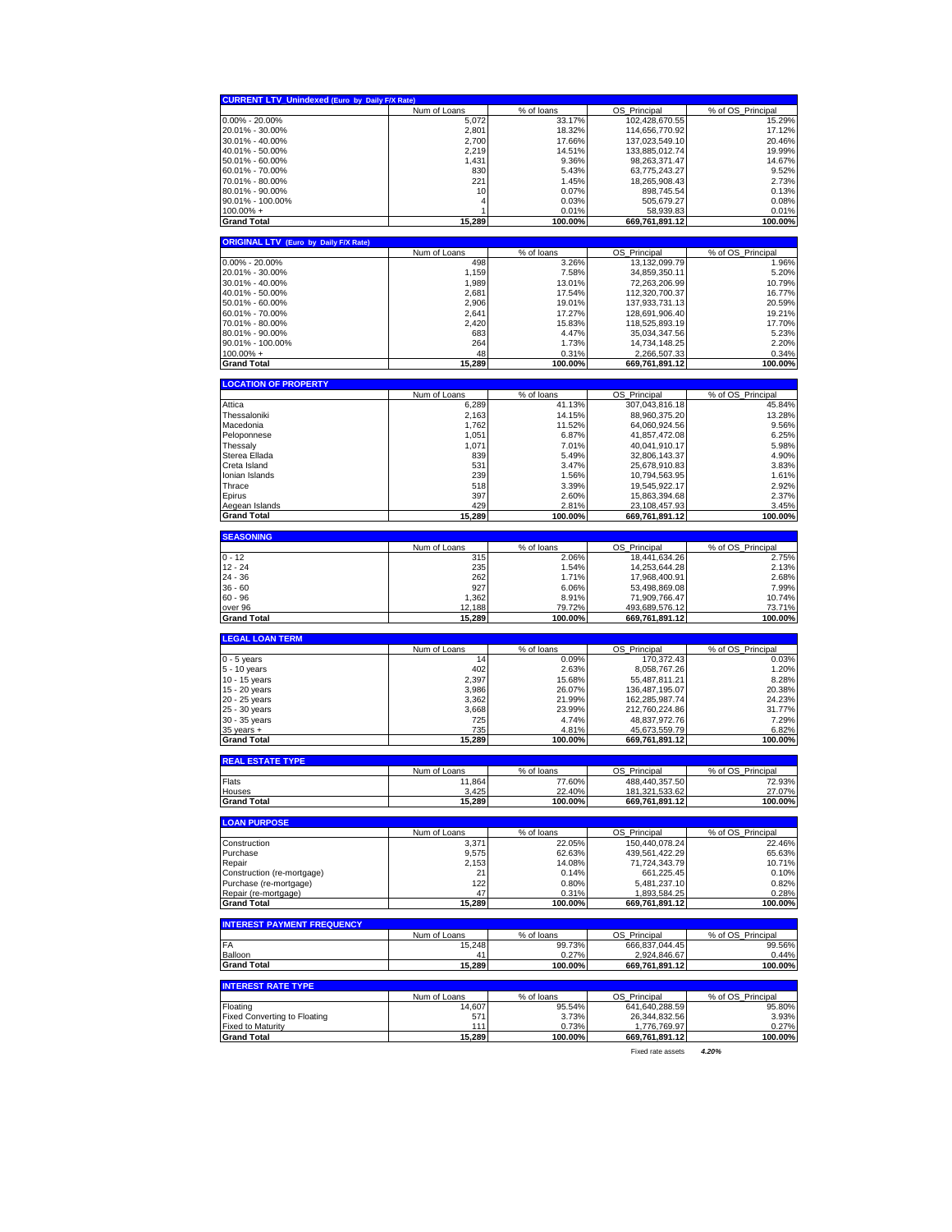| OS Principal<br>$0.00\% - 20.00\%$<br>5,072<br>33.17%<br>102,428,670.55<br>15.29%<br>20.01% - 30.00%<br>2,801<br>18.32%<br>17.12%<br>114,656,770.92<br>30.01% - 40.00%<br>2,700<br>17.66%<br>137,023,549.10<br>20.46%<br>40.01% - 50.00%<br>2,219<br>19.99%<br>14.51%<br>133,885,012.74<br>50.01% - 60.00%<br>1,431<br>14.67%<br>9.36%<br>98,263,371.47<br>60.01% - 70.00%<br>830<br>5.43%<br>63,775,243.27<br>9.52%<br>70.01% - 80.00%<br>221<br>2.73%<br>1.45%<br>18,265,908.43<br>10<br>80.01% - 90.00%<br>0.13%<br>0.07%<br>898,745.54<br>0.03%<br>505,679.27<br>0.08%<br>4<br>0.01%<br>58,939.83<br>0.01%<br>15,289<br>100.00%<br>100.00%<br>669,761,891.12<br><b>ORIGINAL LTV (Euro by Daily F/X Rate)</b><br>Num of Loans<br>% of loans<br>OS_Principal<br>% of OS_Principal<br>498<br>3.26%<br>13,132,099.79<br>1.96%<br>1,159<br>7.58%<br>34,859,350.11<br>5.20%<br>30.01% - 40.00%<br>1,989<br>13.01%<br>72,263,206.99<br>10.79%<br>40.01% - 50.00%<br>2,681<br>17.54%<br>112,320,700.37<br>16.77%<br>2,906<br>50.01% - 60.00%<br>19.01%<br>20.59%<br>137,933,731.13<br>60.01% - 70.00%<br>2,641<br>17.27%<br>128,691,906.40<br>19.21%<br>2,420<br>70.01% - 80.00%<br>15.83%<br>118,525,893.19<br>17.70%<br>80.01% - 90.00%<br>683<br>5.23%<br>4.47%<br>35,034,347.56<br>90.01% - 100.00%<br>264<br>1.73%<br>14,734,148.25<br>2.20%<br>$100.00\% +$<br>0.34%<br>48<br>0.31%<br>2,266,507.33<br>100.00%<br>100.00%<br>15,289<br>669,761,891.12<br><b>LOCATION OF PROPERTY</b><br>% of OS_Principal<br>Num of Loans<br>% of loans<br>OS Principal<br>6,289<br>41.13%<br>307,043,816.18<br>45.84%<br>2,163<br>14.15%<br>13.28%<br>88,960,375.20<br>1,762<br>11.52%<br>64,060,924.56<br>9.56%<br>1,051<br>6.87%<br>41,857,472.08<br>6.25%<br>1,071<br>5.98%<br>7.01%<br>40,041,910.17<br>839<br>5.49%<br>32,806,143.37<br>4.90%<br>Creta Island<br>531<br>3.83%<br>3.47%<br>25,678,910.83<br>Ionian Islands<br>239<br>1.61%<br>1.56%<br>10,794,563.95<br>Thrace<br>518<br>3.39%<br>19,545,922.17<br>2.92%<br>397<br>2.37%<br>Epirus<br>2.60%<br>15,863,394.68<br>Aegean Islands<br>429<br>2.81%<br>23,108,457.93<br>3.45%<br>15.289<br>100.00%<br>100.00%<br>669,761,891.12<br><b>Grand Total</b><br><b>SEASONING</b><br>Num of Loans<br>% of loans<br>OS Principal<br>% of OS_Principal<br>$0 - 12$<br>315<br>2.06%<br>18,441,634.26<br>2.75%<br>235<br>1.54%<br>14,253,644.28<br>2.13%<br>262<br>1.71%<br>17,968,400.91<br>2.68%<br>927<br>6.06%<br>53,498,869.08<br>7.99%<br>1,362<br>8.91%<br>71,909,766.47<br>10.74%<br>79.72%<br>493,689,576.12<br>73.71%<br>over 96<br>12,188<br><b>Grand Total</b><br>15,289<br>100.00%<br>669,761,891.12<br>100.00%<br>Num of Loans<br>% of loans<br>OS_Principal<br>% of OS_Principal<br>$0 - 5$ years<br>14<br>0.09%<br>170,372.43<br>0.03%<br>402<br>1.20%<br>5 - 10 years<br>2.63%<br>8,058,767.26<br>10 - 15 years<br>2,397<br>15.68%<br>55,487,811.21<br>8.28%<br>3,986<br>20.38%<br>15 - 20 years<br>26.07%<br>136,487,195.07<br>20 - 25 years<br>3,362<br>21.99%<br>162,285,987.74<br>24.23%<br>25 - 30 years<br>3,668<br>23.99%<br>212,760,224.86<br>31.77%<br>7.29%<br>30 - 35 years<br>725<br>4.74%<br>48,837,972.76<br>4.81%<br>45,673,559.79<br>6.82%<br>$35$ years $+$<br>735<br>100.00%<br>15,289<br>100.00%<br>669,761,891.12<br><b>REAL ESTATE TYPE</b><br>Num of Loans<br>% of loans<br>OS Principal<br>% of OS Principal<br>11,864<br>77.60%<br>488,440,357.50<br>72.93%<br>27.07%<br>3,425<br>22.40%<br>181 321 533 62<br><b>Grand Total</b><br>15,289<br>100.00%<br>669,761,891.12<br>100.00%<br>Num of Loans<br>% of OS_Principal<br>% of loans<br>OS_Principal<br>Construction<br>3,371<br>22.05%<br>150,440,078.24<br>22.46%<br>Purchase<br>9,575<br>62.63%<br>439,561,422.29<br>65.63%<br>71,724,343.79<br>Repair<br>2,153<br>14.08%<br>10.71%<br>Construction (re-mortgage)<br>21<br>0.14%<br>661,225.45<br>0.10%<br>Purchase (re-mortgage)<br>122<br>0.80%<br>5,481,237.10<br>0.82%<br>0.31%<br>1,893,584.25<br>0.28%<br>47<br>15,289<br>100.00%<br>669,761,891.12<br>100.00%<br>Num of Loans<br>% of loans<br>OS_Principal<br>% of OS Principal<br>15,248<br>99.73%<br>666,837,044.45<br>99.56%<br>0.27%<br>2.924.846.67<br>0.44%<br>41<br>15,289<br>100.00%<br>669,761,891.12<br>100.00%<br>Num of Loans<br>% of loans<br>OS.<br>Principal<br>% of OS Principal<br>641,640,288.59<br>95.80%<br>14,607<br>95.54%<br>26,344,832.56<br>3.93%<br>571<br>3.73%<br>111<br>0.27%<br>0.73%<br>1,776,769.97<br><b>Grand Total</b><br>15,289<br>100.00%<br>669,761,891.12<br>100.00%<br>Fixed rate assets<br>4.20% | <b>CURRENT LTV_Unindexed (Euro by Daily F/X Rate)</b> |              |            |                   |
|--------------------------------------------------------------------------------------------------------------------------------------------------------------------------------------------------------------------------------------------------------------------------------------------------------------------------------------------------------------------------------------------------------------------------------------------------------------------------------------------------------------------------------------------------------------------------------------------------------------------------------------------------------------------------------------------------------------------------------------------------------------------------------------------------------------------------------------------------------------------------------------------------------------------------------------------------------------------------------------------------------------------------------------------------------------------------------------------------------------------------------------------------------------------------------------------------------------------------------------------------------------------------------------------------------------------------------------------------------------------------------------------------------------------------------------------------------------------------------------------------------------------------------------------------------------------------------------------------------------------------------------------------------------------------------------------------------------------------------------------------------------------------------------------------------------------------------------------------------------------------------------------------------------------------------------------------------------------------------------------------------------------------------------------------------------------------------------------------------------------------------------------------------------------------------------------------------------------------------------------------------------------------------------------------------------------------------------------------------------------------------------------------------------------------------------------------------------------------------------------------------------------------------------------------------------------------------------------------------------------------------------------------------------------------------------------------------------------------------------------------------------------------------------------------------------------------------------------------------------------------------------------------------------------------------------------------------------------------------------------------------------------------------------------------------------------------------------------------------------------------------------------------------------------------------------------------------------------------------------------------------------------------------------------------------------------------------------------------------------------------------------------------------------------------------------------------------------------------------------------------------------------------------------------------------------------------------------------------------------------------------------------------------------------------------------------------------------------------------------------------------------------------------------------------------------------------------------------------------------------------------------------------------------------------------------------------------------------------------------------------------------------------------------------------------------------------------------------------------------------------------------------------------------------------------------------------------------------------------------------------------------------------------------------------------------------------------------------------------------------------------------------------------------------------------------------------------------------------------------------------------------------------------------------------------------------------------------|-------------------------------------------------------|--------------|------------|-------------------|
|                                                                                                                                                                                                                                                                                                                                                                                                                                                                                                                                                                                                                                                                                                                                                                                                                                                                                                                                                                                                                                                                                                                                                                                                                                                                                                                                                                                                                                                                                                                                                                                                                                                                                                                                                                                                                                                                                                                                                                                                                                                                                                                                                                                                                                                                                                                                                                                                                                                                                                                                                                                                                                                                                                                                                                                                                                                                                                                                                                                                                                                                                                                                                                                                                                                                                                                                                                                                                                                                                                                                                                                                                                                                                                                                                                                                                                                                                                                                                                                                                                                                                                                                                                                                                                                                                                                                                                                                                                                                                                                                                                                      |                                                       | Num of Loans | % of loans | % of OS Principal |
|                                                                                                                                                                                                                                                                                                                                                                                                                                                                                                                                                                                                                                                                                                                                                                                                                                                                                                                                                                                                                                                                                                                                                                                                                                                                                                                                                                                                                                                                                                                                                                                                                                                                                                                                                                                                                                                                                                                                                                                                                                                                                                                                                                                                                                                                                                                                                                                                                                                                                                                                                                                                                                                                                                                                                                                                                                                                                                                                                                                                                                                                                                                                                                                                                                                                                                                                                                                                                                                                                                                                                                                                                                                                                                                                                                                                                                                                                                                                                                                                                                                                                                                                                                                                                                                                                                                                                                                                                                                                                                                                                                                      |                                                       |              |            |                   |
|                                                                                                                                                                                                                                                                                                                                                                                                                                                                                                                                                                                                                                                                                                                                                                                                                                                                                                                                                                                                                                                                                                                                                                                                                                                                                                                                                                                                                                                                                                                                                                                                                                                                                                                                                                                                                                                                                                                                                                                                                                                                                                                                                                                                                                                                                                                                                                                                                                                                                                                                                                                                                                                                                                                                                                                                                                                                                                                                                                                                                                                                                                                                                                                                                                                                                                                                                                                                                                                                                                                                                                                                                                                                                                                                                                                                                                                                                                                                                                                                                                                                                                                                                                                                                                                                                                                                                                                                                                                                                                                                                                                      |                                                       |              |            |                   |
|                                                                                                                                                                                                                                                                                                                                                                                                                                                                                                                                                                                                                                                                                                                                                                                                                                                                                                                                                                                                                                                                                                                                                                                                                                                                                                                                                                                                                                                                                                                                                                                                                                                                                                                                                                                                                                                                                                                                                                                                                                                                                                                                                                                                                                                                                                                                                                                                                                                                                                                                                                                                                                                                                                                                                                                                                                                                                                                                                                                                                                                                                                                                                                                                                                                                                                                                                                                                                                                                                                                                                                                                                                                                                                                                                                                                                                                                                                                                                                                                                                                                                                                                                                                                                                                                                                                                                                                                                                                                                                                                                                                      |                                                       |              |            |                   |
|                                                                                                                                                                                                                                                                                                                                                                                                                                                                                                                                                                                                                                                                                                                                                                                                                                                                                                                                                                                                                                                                                                                                                                                                                                                                                                                                                                                                                                                                                                                                                                                                                                                                                                                                                                                                                                                                                                                                                                                                                                                                                                                                                                                                                                                                                                                                                                                                                                                                                                                                                                                                                                                                                                                                                                                                                                                                                                                                                                                                                                                                                                                                                                                                                                                                                                                                                                                                                                                                                                                                                                                                                                                                                                                                                                                                                                                                                                                                                                                                                                                                                                                                                                                                                                                                                                                                                                                                                                                                                                                                                                                      |                                                       |              |            |                   |
|                                                                                                                                                                                                                                                                                                                                                                                                                                                                                                                                                                                                                                                                                                                                                                                                                                                                                                                                                                                                                                                                                                                                                                                                                                                                                                                                                                                                                                                                                                                                                                                                                                                                                                                                                                                                                                                                                                                                                                                                                                                                                                                                                                                                                                                                                                                                                                                                                                                                                                                                                                                                                                                                                                                                                                                                                                                                                                                                                                                                                                                                                                                                                                                                                                                                                                                                                                                                                                                                                                                                                                                                                                                                                                                                                                                                                                                                                                                                                                                                                                                                                                                                                                                                                                                                                                                                                                                                                                                                                                                                                                                      |                                                       |              |            |                   |
|                                                                                                                                                                                                                                                                                                                                                                                                                                                                                                                                                                                                                                                                                                                                                                                                                                                                                                                                                                                                                                                                                                                                                                                                                                                                                                                                                                                                                                                                                                                                                                                                                                                                                                                                                                                                                                                                                                                                                                                                                                                                                                                                                                                                                                                                                                                                                                                                                                                                                                                                                                                                                                                                                                                                                                                                                                                                                                                                                                                                                                                                                                                                                                                                                                                                                                                                                                                                                                                                                                                                                                                                                                                                                                                                                                                                                                                                                                                                                                                                                                                                                                                                                                                                                                                                                                                                                                                                                                                                                                                                                                                      |                                                       |              |            |                   |
|                                                                                                                                                                                                                                                                                                                                                                                                                                                                                                                                                                                                                                                                                                                                                                                                                                                                                                                                                                                                                                                                                                                                                                                                                                                                                                                                                                                                                                                                                                                                                                                                                                                                                                                                                                                                                                                                                                                                                                                                                                                                                                                                                                                                                                                                                                                                                                                                                                                                                                                                                                                                                                                                                                                                                                                                                                                                                                                                                                                                                                                                                                                                                                                                                                                                                                                                                                                                                                                                                                                                                                                                                                                                                                                                                                                                                                                                                                                                                                                                                                                                                                                                                                                                                                                                                                                                                                                                                                                                                                                                                                                      |                                                       |              |            |                   |
|                                                                                                                                                                                                                                                                                                                                                                                                                                                                                                                                                                                                                                                                                                                                                                                                                                                                                                                                                                                                                                                                                                                                                                                                                                                                                                                                                                                                                                                                                                                                                                                                                                                                                                                                                                                                                                                                                                                                                                                                                                                                                                                                                                                                                                                                                                                                                                                                                                                                                                                                                                                                                                                                                                                                                                                                                                                                                                                                                                                                                                                                                                                                                                                                                                                                                                                                                                                                                                                                                                                                                                                                                                                                                                                                                                                                                                                                                                                                                                                                                                                                                                                                                                                                                                                                                                                                                                                                                                                                                                                                                                                      | 90.01% - 100.00%                                      |              |            |                   |
|                                                                                                                                                                                                                                                                                                                                                                                                                                                                                                                                                                                                                                                                                                                                                                                                                                                                                                                                                                                                                                                                                                                                                                                                                                                                                                                                                                                                                                                                                                                                                                                                                                                                                                                                                                                                                                                                                                                                                                                                                                                                                                                                                                                                                                                                                                                                                                                                                                                                                                                                                                                                                                                                                                                                                                                                                                                                                                                                                                                                                                                                                                                                                                                                                                                                                                                                                                                                                                                                                                                                                                                                                                                                                                                                                                                                                                                                                                                                                                                                                                                                                                                                                                                                                                                                                                                                                                                                                                                                                                                                                                                      | $100.00\% +$                                          |              |            |                   |
|                                                                                                                                                                                                                                                                                                                                                                                                                                                                                                                                                                                                                                                                                                                                                                                                                                                                                                                                                                                                                                                                                                                                                                                                                                                                                                                                                                                                                                                                                                                                                                                                                                                                                                                                                                                                                                                                                                                                                                                                                                                                                                                                                                                                                                                                                                                                                                                                                                                                                                                                                                                                                                                                                                                                                                                                                                                                                                                                                                                                                                                                                                                                                                                                                                                                                                                                                                                                                                                                                                                                                                                                                                                                                                                                                                                                                                                                                                                                                                                                                                                                                                                                                                                                                                                                                                                                                                                                                                                                                                                                                                                      | <b>Grand Total</b>                                    |              |            |                   |
|                                                                                                                                                                                                                                                                                                                                                                                                                                                                                                                                                                                                                                                                                                                                                                                                                                                                                                                                                                                                                                                                                                                                                                                                                                                                                                                                                                                                                                                                                                                                                                                                                                                                                                                                                                                                                                                                                                                                                                                                                                                                                                                                                                                                                                                                                                                                                                                                                                                                                                                                                                                                                                                                                                                                                                                                                                                                                                                                                                                                                                                                                                                                                                                                                                                                                                                                                                                                                                                                                                                                                                                                                                                                                                                                                                                                                                                                                                                                                                                                                                                                                                                                                                                                                                                                                                                                                                                                                                                                                                                                                                                      |                                                       |              |            |                   |
|                                                                                                                                                                                                                                                                                                                                                                                                                                                                                                                                                                                                                                                                                                                                                                                                                                                                                                                                                                                                                                                                                                                                                                                                                                                                                                                                                                                                                                                                                                                                                                                                                                                                                                                                                                                                                                                                                                                                                                                                                                                                                                                                                                                                                                                                                                                                                                                                                                                                                                                                                                                                                                                                                                                                                                                                                                                                                                                                                                                                                                                                                                                                                                                                                                                                                                                                                                                                                                                                                                                                                                                                                                                                                                                                                                                                                                                                                                                                                                                                                                                                                                                                                                                                                                                                                                                                                                                                                                                                                                                                                                                      |                                                       |              |            |                   |
|                                                                                                                                                                                                                                                                                                                                                                                                                                                                                                                                                                                                                                                                                                                                                                                                                                                                                                                                                                                                                                                                                                                                                                                                                                                                                                                                                                                                                                                                                                                                                                                                                                                                                                                                                                                                                                                                                                                                                                                                                                                                                                                                                                                                                                                                                                                                                                                                                                                                                                                                                                                                                                                                                                                                                                                                                                                                                                                                                                                                                                                                                                                                                                                                                                                                                                                                                                                                                                                                                                                                                                                                                                                                                                                                                                                                                                                                                                                                                                                                                                                                                                                                                                                                                                                                                                                                                                                                                                                                                                                                                                                      | $0.00\% - 20.00\%$                                    |              |            |                   |
|                                                                                                                                                                                                                                                                                                                                                                                                                                                                                                                                                                                                                                                                                                                                                                                                                                                                                                                                                                                                                                                                                                                                                                                                                                                                                                                                                                                                                                                                                                                                                                                                                                                                                                                                                                                                                                                                                                                                                                                                                                                                                                                                                                                                                                                                                                                                                                                                                                                                                                                                                                                                                                                                                                                                                                                                                                                                                                                                                                                                                                                                                                                                                                                                                                                                                                                                                                                                                                                                                                                                                                                                                                                                                                                                                                                                                                                                                                                                                                                                                                                                                                                                                                                                                                                                                                                                                                                                                                                                                                                                                                                      | 20.01% - 30.00%                                       |              |            |                   |
|                                                                                                                                                                                                                                                                                                                                                                                                                                                                                                                                                                                                                                                                                                                                                                                                                                                                                                                                                                                                                                                                                                                                                                                                                                                                                                                                                                                                                                                                                                                                                                                                                                                                                                                                                                                                                                                                                                                                                                                                                                                                                                                                                                                                                                                                                                                                                                                                                                                                                                                                                                                                                                                                                                                                                                                                                                                                                                                                                                                                                                                                                                                                                                                                                                                                                                                                                                                                                                                                                                                                                                                                                                                                                                                                                                                                                                                                                                                                                                                                                                                                                                                                                                                                                                                                                                                                                                                                                                                                                                                                                                                      |                                                       |              |            |                   |
|                                                                                                                                                                                                                                                                                                                                                                                                                                                                                                                                                                                                                                                                                                                                                                                                                                                                                                                                                                                                                                                                                                                                                                                                                                                                                                                                                                                                                                                                                                                                                                                                                                                                                                                                                                                                                                                                                                                                                                                                                                                                                                                                                                                                                                                                                                                                                                                                                                                                                                                                                                                                                                                                                                                                                                                                                                                                                                                                                                                                                                                                                                                                                                                                                                                                                                                                                                                                                                                                                                                                                                                                                                                                                                                                                                                                                                                                                                                                                                                                                                                                                                                                                                                                                                                                                                                                                                                                                                                                                                                                                                                      |                                                       |              |            |                   |
|                                                                                                                                                                                                                                                                                                                                                                                                                                                                                                                                                                                                                                                                                                                                                                                                                                                                                                                                                                                                                                                                                                                                                                                                                                                                                                                                                                                                                                                                                                                                                                                                                                                                                                                                                                                                                                                                                                                                                                                                                                                                                                                                                                                                                                                                                                                                                                                                                                                                                                                                                                                                                                                                                                                                                                                                                                                                                                                                                                                                                                                                                                                                                                                                                                                                                                                                                                                                                                                                                                                                                                                                                                                                                                                                                                                                                                                                                                                                                                                                                                                                                                                                                                                                                                                                                                                                                                                                                                                                                                                                                                                      |                                                       |              |            |                   |
|                                                                                                                                                                                                                                                                                                                                                                                                                                                                                                                                                                                                                                                                                                                                                                                                                                                                                                                                                                                                                                                                                                                                                                                                                                                                                                                                                                                                                                                                                                                                                                                                                                                                                                                                                                                                                                                                                                                                                                                                                                                                                                                                                                                                                                                                                                                                                                                                                                                                                                                                                                                                                                                                                                                                                                                                                                                                                                                                                                                                                                                                                                                                                                                                                                                                                                                                                                                                                                                                                                                                                                                                                                                                                                                                                                                                                                                                                                                                                                                                                                                                                                                                                                                                                                                                                                                                                                                                                                                                                                                                                                                      |                                                       |              |            |                   |
|                                                                                                                                                                                                                                                                                                                                                                                                                                                                                                                                                                                                                                                                                                                                                                                                                                                                                                                                                                                                                                                                                                                                                                                                                                                                                                                                                                                                                                                                                                                                                                                                                                                                                                                                                                                                                                                                                                                                                                                                                                                                                                                                                                                                                                                                                                                                                                                                                                                                                                                                                                                                                                                                                                                                                                                                                                                                                                                                                                                                                                                                                                                                                                                                                                                                                                                                                                                                                                                                                                                                                                                                                                                                                                                                                                                                                                                                                                                                                                                                                                                                                                                                                                                                                                                                                                                                                                                                                                                                                                                                                                                      |                                                       |              |            |                   |
|                                                                                                                                                                                                                                                                                                                                                                                                                                                                                                                                                                                                                                                                                                                                                                                                                                                                                                                                                                                                                                                                                                                                                                                                                                                                                                                                                                                                                                                                                                                                                                                                                                                                                                                                                                                                                                                                                                                                                                                                                                                                                                                                                                                                                                                                                                                                                                                                                                                                                                                                                                                                                                                                                                                                                                                                                                                                                                                                                                                                                                                                                                                                                                                                                                                                                                                                                                                                                                                                                                                                                                                                                                                                                                                                                                                                                                                                                                                                                                                                                                                                                                                                                                                                                                                                                                                                                                                                                                                                                                                                                                                      |                                                       |              |            |                   |
|                                                                                                                                                                                                                                                                                                                                                                                                                                                                                                                                                                                                                                                                                                                                                                                                                                                                                                                                                                                                                                                                                                                                                                                                                                                                                                                                                                                                                                                                                                                                                                                                                                                                                                                                                                                                                                                                                                                                                                                                                                                                                                                                                                                                                                                                                                                                                                                                                                                                                                                                                                                                                                                                                                                                                                                                                                                                                                                                                                                                                                                                                                                                                                                                                                                                                                                                                                                                                                                                                                                                                                                                                                                                                                                                                                                                                                                                                                                                                                                                                                                                                                                                                                                                                                                                                                                                                                                                                                                                                                                                                                                      |                                                       |              |            |                   |
|                                                                                                                                                                                                                                                                                                                                                                                                                                                                                                                                                                                                                                                                                                                                                                                                                                                                                                                                                                                                                                                                                                                                                                                                                                                                                                                                                                                                                                                                                                                                                                                                                                                                                                                                                                                                                                                                                                                                                                                                                                                                                                                                                                                                                                                                                                                                                                                                                                                                                                                                                                                                                                                                                                                                                                                                                                                                                                                                                                                                                                                                                                                                                                                                                                                                                                                                                                                                                                                                                                                                                                                                                                                                                                                                                                                                                                                                                                                                                                                                                                                                                                                                                                                                                                                                                                                                                                                                                                                                                                                                                                                      | <b>Grand Total</b>                                    |              |            |                   |
|                                                                                                                                                                                                                                                                                                                                                                                                                                                                                                                                                                                                                                                                                                                                                                                                                                                                                                                                                                                                                                                                                                                                                                                                                                                                                                                                                                                                                                                                                                                                                                                                                                                                                                                                                                                                                                                                                                                                                                                                                                                                                                                                                                                                                                                                                                                                                                                                                                                                                                                                                                                                                                                                                                                                                                                                                                                                                                                                                                                                                                                                                                                                                                                                                                                                                                                                                                                                                                                                                                                                                                                                                                                                                                                                                                                                                                                                                                                                                                                                                                                                                                                                                                                                                                                                                                                                                                                                                                                                                                                                                                                      |                                                       |              |            |                   |
|                                                                                                                                                                                                                                                                                                                                                                                                                                                                                                                                                                                                                                                                                                                                                                                                                                                                                                                                                                                                                                                                                                                                                                                                                                                                                                                                                                                                                                                                                                                                                                                                                                                                                                                                                                                                                                                                                                                                                                                                                                                                                                                                                                                                                                                                                                                                                                                                                                                                                                                                                                                                                                                                                                                                                                                                                                                                                                                                                                                                                                                                                                                                                                                                                                                                                                                                                                                                                                                                                                                                                                                                                                                                                                                                                                                                                                                                                                                                                                                                                                                                                                                                                                                                                                                                                                                                                                                                                                                                                                                                                                                      |                                                       |              |            |                   |
|                                                                                                                                                                                                                                                                                                                                                                                                                                                                                                                                                                                                                                                                                                                                                                                                                                                                                                                                                                                                                                                                                                                                                                                                                                                                                                                                                                                                                                                                                                                                                                                                                                                                                                                                                                                                                                                                                                                                                                                                                                                                                                                                                                                                                                                                                                                                                                                                                                                                                                                                                                                                                                                                                                                                                                                                                                                                                                                                                                                                                                                                                                                                                                                                                                                                                                                                                                                                                                                                                                                                                                                                                                                                                                                                                                                                                                                                                                                                                                                                                                                                                                                                                                                                                                                                                                                                                                                                                                                                                                                                                                                      | Attica                                                |              |            |                   |
|                                                                                                                                                                                                                                                                                                                                                                                                                                                                                                                                                                                                                                                                                                                                                                                                                                                                                                                                                                                                                                                                                                                                                                                                                                                                                                                                                                                                                                                                                                                                                                                                                                                                                                                                                                                                                                                                                                                                                                                                                                                                                                                                                                                                                                                                                                                                                                                                                                                                                                                                                                                                                                                                                                                                                                                                                                                                                                                                                                                                                                                                                                                                                                                                                                                                                                                                                                                                                                                                                                                                                                                                                                                                                                                                                                                                                                                                                                                                                                                                                                                                                                                                                                                                                                                                                                                                                                                                                                                                                                                                                                                      | Thessaloniki                                          |              |            |                   |
|                                                                                                                                                                                                                                                                                                                                                                                                                                                                                                                                                                                                                                                                                                                                                                                                                                                                                                                                                                                                                                                                                                                                                                                                                                                                                                                                                                                                                                                                                                                                                                                                                                                                                                                                                                                                                                                                                                                                                                                                                                                                                                                                                                                                                                                                                                                                                                                                                                                                                                                                                                                                                                                                                                                                                                                                                                                                                                                                                                                                                                                                                                                                                                                                                                                                                                                                                                                                                                                                                                                                                                                                                                                                                                                                                                                                                                                                                                                                                                                                                                                                                                                                                                                                                                                                                                                                                                                                                                                                                                                                                                                      | Macedonia                                             |              |            |                   |
|                                                                                                                                                                                                                                                                                                                                                                                                                                                                                                                                                                                                                                                                                                                                                                                                                                                                                                                                                                                                                                                                                                                                                                                                                                                                                                                                                                                                                                                                                                                                                                                                                                                                                                                                                                                                                                                                                                                                                                                                                                                                                                                                                                                                                                                                                                                                                                                                                                                                                                                                                                                                                                                                                                                                                                                                                                                                                                                                                                                                                                                                                                                                                                                                                                                                                                                                                                                                                                                                                                                                                                                                                                                                                                                                                                                                                                                                                                                                                                                                                                                                                                                                                                                                                                                                                                                                                                                                                                                                                                                                                                                      | Peloponnese                                           |              |            |                   |
|                                                                                                                                                                                                                                                                                                                                                                                                                                                                                                                                                                                                                                                                                                                                                                                                                                                                                                                                                                                                                                                                                                                                                                                                                                                                                                                                                                                                                                                                                                                                                                                                                                                                                                                                                                                                                                                                                                                                                                                                                                                                                                                                                                                                                                                                                                                                                                                                                                                                                                                                                                                                                                                                                                                                                                                                                                                                                                                                                                                                                                                                                                                                                                                                                                                                                                                                                                                                                                                                                                                                                                                                                                                                                                                                                                                                                                                                                                                                                                                                                                                                                                                                                                                                                                                                                                                                                                                                                                                                                                                                                                                      | Thessaly                                              |              |            |                   |
|                                                                                                                                                                                                                                                                                                                                                                                                                                                                                                                                                                                                                                                                                                                                                                                                                                                                                                                                                                                                                                                                                                                                                                                                                                                                                                                                                                                                                                                                                                                                                                                                                                                                                                                                                                                                                                                                                                                                                                                                                                                                                                                                                                                                                                                                                                                                                                                                                                                                                                                                                                                                                                                                                                                                                                                                                                                                                                                                                                                                                                                                                                                                                                                                                                                                                                                                                                                                                                                                                                                                                                                                                                                                                                                                                                                                                                                                                                                                                                                                                                                                                                                                                                                                                                                                                                                                                                                                                                                                                                                                                                                      | Sterea Ellada                                         |              |            |                   |
|                                                                                                                                                                                                                                                                                                                                                                                                                                                                                                                                                                                                                                                                                                                                                                                                                                                                                                                                                                                                                                                                                                                                                                                                                                                                                                                                                                                                                                                                                                                                                                                                                                                                                                                                                                                                                                                                                                                                                                                                                                                                                                                                                                                                                                                                                                                                                                                                                                                                                                                                                                                                                                                                                                                                                                                                                                                                                                                                                                                                                                                                                                                                                                                                                                                                                                                                                                                                                                                                                                                                                                                                                                                                                                                                                                                                                                                                                                                                                                                                                                                                                                                                                                                                                                                                                                                                                                                                                                                                                                                                                                                      |                                                       |              |            |                   |
|                                                                                                                                                                                                                                                                                                                                                                                                                                                                                                                                                                                                                                                                                                                                                                                                                                                                                                                                                                                                                                                                                                                                                                                                                                                                                                                                                                                                                                                                                                                                                                                                                                                                                                                                                                                                                                                                                                                                                                                                                                                                                                                                                                                                                                                                                                                                                                                                                                                                                                                                                                                                                                                                                                                                                                                                                                                                                                                                                                                                                                                                                                                                                                                                                                                                                                                                                                                                                                                                                                                                                                                                                                                                                                                                                                                                                                                                                                                                                                                                                                                                                                                                                                                                                                                                                                                                                                                                                                                                                                                                                                                      |                                                       |              |            |                   |
|                                                                                                                                                                                                                                                                                                                                                                                                                                                                                                                                                                                                                                                                                                                                                                                                                                                                                                                                                                                                                                                                                                                                                                                                                                                                                                                                                                                                                                                                                                                                                                                                                                                                                                                                                                                                                                                                                                                                                                                                                                                                                                                                                                                                                                                                                                                                                                                                                                                                                                                                                                                                                                                                                                                                                                                                                                                                                                                                                                                                                                                                                                                                                                                                                                                                                                                                                                                                                                                                                                                                                                                                                                                                                                                                                                                                                                                                                                                                                                                                                                                                                                                                                                                                                                                                                                                                                                                                                                                                                                                                                                                      |                                                       |              |            |                   |
|                                                                                                                                                                                                                                                                                                                                                                                                                                                                                                                                                                                                                                                                                                                                                                                                                                                                                                                                                                                                                                                                                                                                                                                                                                                                                                                                                                                                                                                                                                                                                                                                                                                                                                                                                                                                                                                                                                                                                                                                                                                                                                                                                                                                                                                                                                                                                                                                                                                                                                                                                                                                                                                                                                                                                                                                                                                                                                                                                                                                                                                                                                                                                                                                                                                                                                                                                                                                                                                                                                                                                                                                                                                                                                                                                                                                                                                                                                                                                                                                                                                                                                                                                                                                                                                                                                                                                                                                                                                                                                                                                                                      |                                                       |              |            |                   |
|                                                                                                                                                                                                                                                                                                                                                                                                                                                                                                                                                                                                                                                                                                                                                                                                                                                                                                                                                                                                                                                                                                                                                                                                                                                                                                                                                                                                                                                                                                                                                                                                                                                                                                                                                                                                                                                                                                                                                                                                                                                                                                                                                                                                                                                                                                                                                                                                                                                                                                                                                                                                                                                                                                                                                                                                                                                                                                                                                                                                                                                                                                                                                                                                                                                                                                                                                                                                                                                                                                                                                                                                                                                                                                                                                                                                                                                                                                                                                                                                                                                                                                                                                                                                                                                                                                                                                                                                                                                                                                                                                                                      |                                                       |              |            |                   |
|                                                                                                                                                                                                                                                                                                                                                                                                                                                                                                                                                                                                                                                                                                                                                                                                                                                                                                                                                                                                                                                                                                                                                                                                                                                                                                                                                                                                                                                                                                                                                                                                                                                                                                                                                                                                                                                                                                                                                                                                                                                                                                                                                                                                                                                                                                                                                                                                                                                                                                                                                                                                                                                                                                                                                                                                                                                                                                                                                                                                                                                                                                                                                                                                                                                                                                                                                                                                                                                                                                                                                                                                                                                                                                                                                                                                                                                                                                                                                                                                                                                                                                                                                                                                                                                                                                                                                                                                                                                                                                                                                                                      |                                                       |              |            |                   |
|                                                                                                                                                                                                                                                                                                                                                                                                                                                                                                                                                                                                                                                                                                                                                                                                                                                                                                                                                                                                                                                                                                                                                                                                                                                                                                                                                                                                                                                                                                                                                                                                                                                                                                                                                                                                                                                                                                                                                                                                                                                                                                                                                                                                                                                                                                                                                                                                                                                                                                                                                                                                                                                                                                                                                                                                                                                                                                                                                                                                                                                                                                                                                                                                                                                                                                                                                                                                                                                                                                                                                                                                                                                                                                                                                                                                                                                                                                                                                                                                                                                                                                                                                                                                                                                                                                                                                                                                                                                                                                                                                                                      |                                                       |              |            |                   |
|                                                                                                                                                                                                                                                                                                                                                                                                                                                                                                                                                                                                                                                                                                                                                                                                                                                                                                                                                                                                                                                                                                                                                                                                                                                                                                                                                                                                                                                                                                                                                                                                                                                                                                                                                                                                                                                                                                                                                                                                                                                                                                                                                                                                                                                                                                                                                                                                                                                                                                                                                                                                                                                                                                                                                                                                                                                                                                                                                                                                                                                                                                                                                                                                                                                                                                                                                                                                                                                                                                                                                                                                                                                                                                                                                                                                                                                                                                                                                                                                                                                                                                                                                                                                                                                                                                                                                                                                                                                                                                                                                                                      |                                                       |              |            |                   |
|                                                                                                                                                                                                                                                                                                                                                                                                                                                                                                                                                                                                                                                                                                                                                                                                                                                                                                                                                                                                                                                                                                                                                                                                                                                                                                                                                                                                                                                                                                                                                                                                                                                                                                                                                                                                                                                                                                                                                                                                                                                                                                                                                                                                                                                                                                                                                                                                                                                                                                                                                                                                                                                                                                                                                                                                                                                                                                                                                                                                                                                                                                                                                                                                                                                                                                                                                                                                                                                                                                                                                                                                                                                                                                                                                                                                                                                                                                                                                                                                                                                                                                                                                                                                                                                                                                                                                                                                                                                                                                                                                                                      | 12 - 24                                               |              |            |                   |
|                                                                                                                                                                                                                                                                                                                                                                                                                                                                                                                                                                                                                                                                                                                                                                                                                                                                                                                                                                                                                                                                                                                                                                                                                                                                                                                                                                                                                                                                                                                                                                                                                                                                                                                                                                                                                                                                                                                                                                                                                                                                                                                                                                                                                                                                                                                                                                                                                                                                                                                                                                                                                                                                                                                                                                                                                                                                                                                                                                                                                                                                                                                                                                                                                                                                                                                                                                                                                                                                                                                                                                                                                                                                                                                                                                                                                                                                                                                                                                                                                                                                                                                                                                                                                                                                                                                                                                                                                                                                                                                                                                                      | 24 - 36                                               |              |            |                   |
|                                                                                                                                                                                                                                                                                                                                                                                                                                                                                                                                                                                                                                                                                                                                                                                                                                                                                                                                                                                                                                                                                                                                                                                                                                                                                                                                                                                                                                                                                                                                                                                                                                                                                                                                                                                                                                                                                                                                                                                                                                                                                                                                                                                                                                                                                                                                                                                                                                                                                                                                                                                                                                                                                                                                                                                                                                                                                                                                                                                                                                                                                                                                                                                                                                                                                                                                                                                                                                                                                                                                                                                                                                                                                                                                                                                                                                                                                                                                                                                                                                                                                                                                                                                                                                                                                                                                                                                                                                                                                                                                                                                      | $36 - 60$                                             |              |            |                   |
|                                                                                                                                                                                                                                                                                                                                                                                                                                                                                                                                                                                                                                                                                                                                                                                                                                                                                                                                                                                                                                                                                                                                                                                                                                                                                                                                                                                                                                                                                                                                                                                                                                                                                                                                                                                                                                                                                                                                                                                                                                                                                                                                                                                                                                                                                                                                                                                                                                                                                                                                                                                                                                                                                                                                                                                                                                                                                                                                                                                                                                                                                                                                                                                                                                                                                                                                                                                                                                                                                                                                                                                                                                                                                                                                                                                                                                                                                                                                                                                                                                                                                                                                                                                                                                                                                                                                                                                                                                                                                                                                                                                      | $60 - 96$                                             |              |            |                   |
|                                                                                                                                                                                                                                                                                                                                                                                                                                                                                                                                                                                                                                                                                                                                                                                                                                                                                                                                                                                                                                                                                                                                                                                                                                                                                                                                                                                                                                                                                                                                                                                                                                                                                                                                                                                                                                                                                                                                                                                                                                                                                                                                                                                                                                                                                                                                                                                                                                                                                                                                                                                                                                                                                                                                                                                                                                                                                                                                                                                                                                                                                                                                                                                                                                                                                                                                                                                                                                                                                                                                                                                                                                                                                                                                                                                                                                                                                                                                                                                                                                                                                                                                                                                                                                                                                                                                                                                                                                                                                                                                                                                      |                                                       |              |            |                   |
|                                                                                                                                                                                                                                                                                                                                                                                                                                                                                                                                                                                                                                                                                                                                                                                                                                                                                                                                                                                                                                                                                                                                                                                                                                                                                                                                                                                                                                                                                                                                                                                                                                                                                                                                                                                                                                                                                                                                                                                                                                                                                                                                                                                                                                                                                                                                                                                                                                                                                                                                                                                                                                                                                                                                                                                                                                                                                                                                                                                                                                                                                                                                                                                                                                                                                                                                                                                                                                                                                                                                                                                                                                                                                                                                                                                                                                                                                                                                                                                                                                                                                                                                                                                                                                                                                                                                                                                                                                                                                                                                                                                      |                                                       |              |            |                   |
|                                                                                                                                                                                                                                                                                                                                                                                                                                                                                                                                                                                                                                                                                                                                                                                                                                                                                                                                                                                                                                                                                                                                                                                                                                                                                                                                                                                                                                                                                                                                                                                                                                                                                                                                                                                                                                                                                                                                                                                                                                                                                                                                                                                                                                                                                                                                                                                                                                                                                                                                                                                                                                                                                                                                                                                                                                                                                                                                                                                                                                                                                                                                                                                                                                                                                                                                                                                                                                                                                                                                                                                                                                                                                                                                                                                                                                                                                                                                                                                                                                                                                                                                                                                                                                                                                                                                                                                                                                                                                                                                                                                      | <b>LEGAL LOAN TERM</b>                                |              |            |                   |
|                                                                                                                                                                                                                                                                                                                                                                                                                                                                                                                                                                                                                                                                                                                                                                                                                                                                                                                                                                                                                                                                                                                                                                                                                                                                                                                                                                                                                                                                                                                                                                                                                                                                                                                                                                                                                                                                                                                                                                                                                                                                                                                                                                                                                                                                                                                                                                                                                                                                                                                                                                                                                                                                                                                                                                                                                                                                                                                                                                                                                                                                                                                                                                                                                                                                                                                                                                                                                                                                                                                                                                                                                                                                                                                                                                                                                                                                                                                                                                                                                                                                                                                                                                                                                                                                                                                                                                                                                                                                                                                                                                                      |                                                       |              |            |                   |
|                                                                                                                                                                                                                                                                                                                                                                                                                                                                                                                                                                                                                                                                                                                                                                                                                                                                                                                                                                                                                                                                                                                                                                                                                                                                                                                                                                                                                                                                                                                                                                                                                                                                                                                                                                                                                                                                                                                                                                                                                                                                                                                                                                                                                                                                                                                                                                                                                                                                                                                                                                                                                                                                                                                                                                                                                                                                                                                                                                                                                                                                                                                                                                                                                                                                                                                                                                                                                                                                                                                                                                                                                                                                                                                                                                                                                                                                                                                                                                                                                                                                                                                                                                                                                                                                                                                                                                                                                                                                                                                                                                                      |                                                       |              |            |                   |
|                                                                                                                                                                                                                                                                                                                                                                                                                                                                                                                                                                                                                                                                                                                                                                                                                                                                                                                                                                                                                                                                                                                                                                                                                                                                                                                                                                                                                                                                                                                                                                                                                                                                                                                                                                                                                                                                                                                                                                                                                                                                                                                                                                                                                                                                                                                                                                                                                                                                                                                                                                                                                                                                                                                                                                                                                                                                                                                                                                                                                                                                                                                                                                                                                                                                                                                                                                                                                                                                                                                                                                                                                                                                                                                                                                                                                                                                                                                                                                                                                                                                                                                                                                                                                                                                                                                                                                                                                                                                                                                                                                                      |                                                       |              |            |                   |
|                                                                                                                                                                                                                                                                                                                                                                                                                                                                                                                                                                                                                                                                                                                                                                                                                                                                                                                                                                                                                                                                                                                                                                                                                                                                                                                                                                                                                                                                                                                                                                                                                                                                                                                                                                                                                                                                                                                                                                                                                                                                                                                                                                                                                                                                                                                                                                                                                                                                                                                                                                                                                                                                                                                                                                                                                                                                                                                                                                                                                                                                                                                                                                                                                                                                                                                                                                                                                                                                                                                                                                                                                                                                                                                                                                                                                                                                                                                                                                                                                                                                                                                                                                                                                                                                                                                                                                                                                                                                                                                                                                                      |                                                       |              |            |                   |
|                                                                                                                                                                                                                                                                                                                                                                                                                                                                                                                                                                                                                                                                                                                                                                                                                                                                                                                                                                                                                                                                                                                                                                                                                                                                                                                                                                                                                                                                                                                                                                                                                                                                                                                                                                                                                                                                                                                                                                                                                                                                                                                                                                                                                                                                                                                                                                                                                                                                                                                                                                                                                                                                                                                                                                                                                                                                                                                                                                                                                                                                                                                                                                                                                                                                                                                                                                                                                                                                                                                                                                                                                                                                                                                                                                                                                                                                                                                                                                                                                                                                                                                                                                                                                                                                                                                                                                                                                                                                                                                                                                                      |                                                       |              |            |                   |
|                                                                                                                                                                                                                                                                                                                                                                                                                                                                                                                                                                                                                                                                                                                                                                                                                                                                                                                                                                                                                                                                                                                                                                                                                                                                                                                                                                                                                                                                                                                                                                                                                                                                                                                                                                                                                                                                                                                                                                                                                                                                                                                                                                                                                                                                                                                                                                                                                                                                                                                                                                                                                                                                                                                                                                                                                                                                                                                                                                                                                                                                                                                                                                                                                                                                                                                                                                                                                                                                                                                                                                                                                                                                                                                                                                                                                                                                                                                                                                                                                                                                                                                                                                                                                                                                                                                                                                                                                                                                                                                                                                                      |                                                       |              |            |                   |
|                                                                                                                                                                                                                                                                                                                                                                                                                                                                                                                                                                                                                                                                                                                                                                                                                                                                                                                                                                                                                                                                                                                                                                                                                                                                                                                                                                                                                                                                                                                                                                                                                                                                                                                                                                                                                                                                                                                                                                                                                                                                                                                                                                                                                                                                                                                                                                                                                                                                                                                                                                                                                                                                                                                                                                                                                                                                                                                                                                                                                                                                                                                                                                                                                                                                                                                                                                                                                                                                                                                                                                                                                                                                                                                                                                                                                                                                                                                                                                                                                                                                                                                                                                                                                                                                                                                                                                                                                                                                                                                                                                                      |                                                       |              |            |                   |
|                                                                                                                                                                                                                                                                                                                                                                                                                                                                                                                                                                                                                                                                                                                                                                                                                                                                                                                                                                                                                                                                                                                                                                                                                                                                                                                                                                                                                                                                                                                                                                                                                                                                                                                                                                                                                                                                                                                                                                                                                                                                                                                                                                                                                                                                                                                                                                                                                                                                                                                                                                                                                                                                                                                                                                                                                                                                                                                                                                                                                                                                                                                                                                                                                                                                                                                                                                                                                                                                                                                                                                                                                                                                                                                                                                                                                                                                                                                                                                                                                                                                                                                                                                                                                                                                                                                                                                                                                                                                                                                                                                                      |                                                       |              |            |                   |
|                                                                                                                                                                                                                                                                                                                                                                                                                                                                                                                                                                                                                                                                                                                                                                                                                                                                                                                                                                                                                                                                                                                                                                                                                                                                                                                                                                                                                                                                                                                                                                                                                                                                                                                                                                                                                                                                                                                                                                                                                                                                                                                                                                                                                                                                                                                                                                                                                                                                                                                                                                                                                                                                                                                                                                                                                                                                                                                                                                                                                                                                                                                                                                                                                                                                                                                                                                                                                                                                                                                                                                                                                                                                                                                                                                                                                                                                                                                                                                                                                                                                                                                                                                                                                                                                                                                                                                                                                                                                                                                                                                                      | <b>Grand Total</b>                                    |              |            |                   |
|                                                                                                                                                                                                                                                                                                                                                                                                                                                                                                                                                                                                                                                                                                                                                                                                                                                                                                                                                                                                                                                                                                                                                                                                                                                                                                                                                                                                                                                                                                                                                                                                                                                                                                                                                                                                                                                                                                                                                                                                                                                                                                                                                                                                                                                                                                                                                                                                                                                                                                                                                                                                                                                                                                                                                                                                                                                                                                                                                                                                                                                                                                                                                                                                                                                                                                                                                                                                                                                                                                                                                                                                                                                                                                                                                                                                                                                                                                                                                                                                                                                                                                                                                                                                                                                                                                                                                                                                                                                                                                                                                                                      |                                                       |              |            |                   |
|                                                                                                                                                                                                                                                                                                                                                                                                                                                                                                                                                                                                                                                                                                                                                                                                                                                                                                                                                                                                                                                                                                                                                                                                                                                                                                                                                                                                                                                                                                                                                                                                                                                                                                                                                                                                                                                                                                                                                                                                                                                                                                                                                                                                                                                                                                                                                                                                                                                                                                                                                                                                                                                                                                                                                                                                                                                                                                                                                                                                                                                                                                                                                                                                                                                                                                                                                                                                                                                                                                                                                                                                                                                                                                                                                                                                                                                                                                                                                                                                                                                                                                                                                                                                                                                                                                                                                                                                                                                                                                                                                                                      |                                                       |              |            |                   |
|                                                                                                                                                                                                                                                                                                                                                                                                                                                                                                                                                                                                                                                                                                                                                                                                                                                                                                                                                                                                                                                                                                                                                                                                                                                                                                                                                                                                                                                                                                                                                                                                                                                                                                                                                                                                                                                                                                                                                                                                                                                                                                                                                                                                                                                                                                                                                                                                                                                                                                                                                                                                                                                                                                                                                                                                                                                                                                                                                                                                                                                                                                                                                                                                                                                                                                                                                                                                                                                                                                                                                                                                                                                                                                                                                                                                                                                                                                                                                                                                                                                                                                                                                                                                                                                                                                                                                                                                                                                                                                                                                                                      | Flats                                                 |              |            |                   |
|                                                                                                                                                                                                                                                                                                                                                                                                                                                                                                                                                                                                                                                                                                                                                                                                                                                                                                                                                                                                                                                                                                                                                                                                                                                                                                                                                                                                                                                                                                                                                                                                                                                                                                                                                                                                                                                                                                                                                                                                                                                                                                                                                                                                                                                                                                                                                                                                                                                                                                                                                                                                                                                                                                                                                                                                                                                                                                                                                                                                                                                                                                                                                                                                                                                                                                                                                                                                                                                                                                                                                                                                                                                                                                                                                                                                                                                                                                                                                                                                                                                                                                                                                                                                                                                                                                                                                                                                                                                                                                                                                                                      |                                                       |              |            |                   |
|                                                                                                                                                                                                                                                                                                                                                                                                                                                                                                                                                                                                                                                                                                                                                                                                                                                                                                                                                                                                                                                                                                                                                                                                                                                                                                                                                                                                                                                                                                                                                                                                                                                                                                                                                                                                                                                                                                                                                                                                                                                                                                                                                                                                                                                                                                                                                                                                                                                                                                                                                                                                                                                                                                                                                                                                                                                                                                                                                                                                                                                                                                                                                                                                                                                                                                                                                                                                                                                                                                                                                                                                                                                                                                                                                                                                                                                                                                                                                                                                                                                                                                                                                                                                                                                                                                                                                                                                                                                                                                                                                                                      |                                                       |              |            |                   |
|                                                                                                                                                                                                                                                                                                                                                                                                                                                                                                                                                                                                                                                                                                                                                                                                                                                                                                                                                                                                                                                                                                                                                                                                                                                                                                                                                                                                                                                                                                                                                                                                                                                                                                                                                                                                                                                                                                                                                                                                                                                                                                                                                                                                                                                                                                                                                                                                                                                                                                                                                                                                                                                                                                                                                                                                                                                                                                                                                                                                                                                                                                                                                                                                                                                                                                                                                                                                                                                                                                                                                                                                                                                                                                                                                                                                                                                                                                                                                                                                                                                                                                                                                                                                                                                                                                                                                                                                                                                                                                                                                                                      | <b>LOAN PURPOSE</b>                                   |              |            |                   |
|                                                                                                                                                                                                                                                                                                                                                                                                                                                                                                                                                                                                                                                                                                                                                                                                                                                                                                                                                                                                                                                                                                                                                                                                                                                                                                                                                                                                                                                                                                                                                                                                                                                                                                                                                                                                                                                                                                                                                                                                                                                                                                                                                                                                                                                                                                                                                                                                                                                                                                                                                                                                                                                                                                                                                                                                                                                                                                                                                                                                                                                                                                                                                                                                                                                                                                                                                                                                                                                                                                                                                                                                                                                                                                                                                                                                                                                                                                                                                                                                                                                                                                                                                                                                                                                                                                                                                                                                                                                                                                                                                                                      |                                                       |              |            |                   |
|                                                                                                                                                                                                                                                                                                                                                                                                                                                                                                                                                                                                                                                                                                                                                                                                                                                                                                                                                                                                                                                                                                                                                                                                                                                                                                                                                                                                                                                                                                                                                                                                                                                                                                                                                                                                                                                                                                                                                                                                                                                                                                                                                                                                                                                                                                                                                                                                                                                                                                                                                                                                                                                                                                                                                                                                                                                                                                                                                                                                                                                                                                                                                                                                                                                                                                                                                                                                                                                                                                                                                                                                                                                                                                                                                                                                                                                                                                                                                                                                                                                                                                                                                                                                                                                                                                                                                                                                                                                                                                                                                                                      |                                                       |              |            |                   |
|                                                                                                                                                                                                                                                                                                                                                                                                                                                                                                                                                                                                                                                                                                                                                                                                                                                                                                                                                                                                                                                                                                                                                                                                                                                                                                                                                                                                                                                                                                                                                                                                                                                                                                                                                                                                                                                                                                                                                                                                                                                                                                                                                                                                                                                                                                                                                                                                                                                                                                                                                                                                                                                                                                                                                                                                                                                                                                                                                                                                                                                                                                                                                                                                                                                                                                                                                                                                                                                                                                                                                                                                                                                                                                                                                                                                                                                                                                                                                                                                                                                                                                                                                                                                                                                                                                                                                                                                                                                                                                                                                                                      |                                                       |              |            |                   |
|                                                                                                                                                                                                                                                                                                                                                                                                                                                                                                                                                                                                                                                                                                                                                                                                                                                                                                                                                                                                                                                                                                                                                                                                                                                                                                                                                                                                                                                                                                                                                                                                                                                                                                                                                                                                                                                                                                                                                                                                                                                                                                                                                                                                                                                                                                                                                                                                                                                                                                                                                                                                                                                                                                                                                                                                                                                                                                                                                                                                                                                                                                                                                                                                                                                                                                                                                                                                                                                                                                                                                                                                                                                                                                                                                                                                                                                                                                                                                                                                                                                                                                                                                                                                                                                                                                                                                                                                                                                                                                                                                                                      |                                                       |              |            |                   |
|                                                                                                                                                                                                                                                                                                                                                                                                                                                                                                                                                                                                                                                                                                                                                                                                                                                                                                                                                                                                                                                                                                                                                                                                                                                                                                                                                                                                                                                                                                                                                                                                                                                                                                                                                                                                                                                                                                                                                                                                                                                                                                                                                                                                                                                                                                                                                                                                                                                                                                                                                                                                                                                                                                                                                                                                                                                                                                                                                                                                                                                                                                                                                                                                                                                                                                                                                                                                                                                                                                                                                                                                                                                                                                                                                                                                                                                                                                                                                                                                                                                                                                                                                                                                                                                                                                                                                                                                                                                                                                                                                                                      |                                                       |              |            |                   |
|                                                                                                                                                                                                                                                                                                                                                                                                                                                                                                                                                                                                                                                                                                                                                                                                                                                                                                                                                                                                                                                                                                                                                                                                                                                                                                                                                                                                                                                                                                                                                                                                                                                                                                                                                                                                                                                                                                                                                                                                                                                                                                                                                                                                                                                                                                                                                                                                                                                                                                                                                                                                                                                                                                                                                                                                                                                                                                                                                                                                                                                                                                                                                                                                                                                                                                                                                                                                                                                                                                                                                                                                                                                                                                                                                                                                                                                                                                                                                                                                                                                                                                                                                                                                                                                                                                                                                                                                                                                                                                                                                                                      |                                                       |              |            |                   |
|                                                                                                                                                                                                                                                                                                                                                                                                                                                                                                                                                                                                                                                                                                                                                                                                                                                                                                                                                                                                                                                                                                                                                                                                                                                                                                                                                                                                                                                                                                                                                                                                                                                                                                                                                                                                                                                                                                                                                                                                                                                                                                                                                                                                                                                                                                                                                                                                                                                                                                                                                                                                                                                                                                                                                                                                                                                                                                                                                                                                                                                                                                                                                                                                                                                                                                                                                                                                                                                                                                                                                                                                                                                                                                                                                                                                                                                                                                                                                                                                                                                                                                                                                                                                                                                                                                                                                                                                                                                                                                                                                                                      |                                                       |              |            |                   |
|                                                                                                                                                                                                                                                                                                                                                                                                                                                                                                                                                                                                                                                                                                                                                                                                                                                                                                                                                                                                                                                                                                                                                                                                                                                                                                                                                                                                                                                                                                                                                                                                                                                                                                                                                                                                                                                                                                                                                                                                                                                                                                                                                                                                                                                                                                                                                                                                                                                                                                                                                                                                                                                                                                                                                                                                                                                                                                                                                                                                                                                                                                                                                                                                                                                                                                                                                                                                                                                                                                                                                                                                                                                                                                                                                                                                                                                                                                                                                                                                                                                                                                                                                                                                                                                                                                                                                                                                                                                                                                                                                                                      | Repair (re-mortgage)<br><b>Grand Total</b>            |              |            |                   |
|                                                                                                                                                                                                                                                                                                                                                                                                                                                                                                                                                                                                                                                                                                                                                                                                                                                                                                                                                                                                                                                                                                                                                                                                                                                                                                                                                                                                                                                                                                                                                                                                                                                                                                                                                                                                                                                                                                                                                                                                                                                                                                                                                                                                                                                                                                                                                                                                                                                                                                                                                                                                                                                                                                                                                                                                                                                                                                                                                                                                                                                                                                                                                                                                                                                                                                                                                                                                                                                                                                                                                                                                                                                                                                                                                                                                                                                                                                                                                                                                                                                                                                                                                                                                                                                                                                                                                                                                                                                                                                                                                                                      |                                                       |              |            |                   |
|                                                                                                                                                                                                                                                                                                                                                                                                                                                                                                                                                                                                                                                                                                                                                                                                                                                                                                                                                                                                                                                                                                                                                                                                                                                                                                                                                                                                                                                                                                                                                                                                                                                                                                                                                                                                                                                                                                                                                                                                                                                                                                                                                                                                                                                                                                                                                                                                                                                                                                                                                                                                                                                                                                                                                                                                                                                                                                                                                                                                                                                                                                                                                                                                                                                                                                                                                                                                                                                                                                                                                                                                                                                                                                                                                                                                                                                                                                                                                                                                                                                                                                                                                                                                                                                                                                                                                                                                                                                                                                                                                                                      | <b>INTEREST PAYMENT FREQUENCY</b>                     |              |            |                   |
|                                                                                                                                                                                                                                                                                                                                                                                                                                                                                                                                                                                                                                                                                                                                                                                                                                                                                                                                                                                                                                                                                                                                                                                                                                                                                                                                                                                                                                                                                                                                                                                                                                                                                                                                                                                                                                                                                                                                                                                                                                                                                                                                                                                                                                                                                                                                                                                                                                                                                                                                                                                                                                                                                                                                                                                                                                                                                                                                                                                                                                                                                                                                                                                                                                                                                                                                                                                                                                                                                                                                                                                                                                                                                                                                                                                                                                                                                                                                                                                                                                                                                                                                                                                                                                                                                                                                                                                                                                                                                                                                                                                      |                                                       |              |            |                   |
|                                                                                                                                                                                                                                                                                                                                                                                                                                                                                                                                                                                                                                                                                                                                                                                                                                                                                                                                                                                                                                                                                                                                                                                                                                                                                                                                                                                                                                                                                                                                                                                                                                                                                                                                                                                                                                                                                                                                                                                                                                                                                                                                                                                                                                                                                                                                                                                                                                                                                                                                                                                                                                                                                                                                                                                                                                                                                                                                                                                                                                                                                                                                                                                                                                                                                                                                                                                                                                                                                                                                                                                                                                                                                                                                                                                                                                                                                                                                                                                                                                                                                                                                                                                                                                                                                                                                                                                                                                                                                                                                                                                      | FA<br>Balloon                                         |              |            |                   |
|                                                                                                                                                                                                                                                                                                                                                                                                                                                                                                                                                                                                                                                                                                                                                                                                                                                                                                                                                                                                                                                                                                                                                                                                                                                                                                                                                                                                                                                                                                                                                                                                                                                                                                                                                                                                                                                                                                                                                                                                                                                                                                                                                                                                                                                                                                                                                                                                                                                                                                                                                                                                                                                                                                                                                                                                                                                                                                                                                                                                                                                                                                                                                                                                                                                                                                                                                                                                                                                                                                                                                                                                                                                                                                                                                                                                                                                                                                                                                                                                                                                                                                                                                                                                                                                                                                                                                                                                                                                                                                                                                                                      |                                                       |              |            |                   |
|                                                                                                                                                                                                                                                                                                                                                                                                                                                                                                                                                                                                                                                                                                                                                                                                                                                                                                                                                                                                                                                                                                                                                                                                                                                                                                                                                                                                                                                                                                                                                                                                                                                                                                                                                                                                                                                                                                                                                                                                                                                                                                                                                                                                                                                                                                                                                                                                                                                                                                                                                                                                                                                                                                                                                                                                                                                                                                                                                                                                                                                                                                                                                                                                                                                                                                                                                                                                                                                                                                                                                                                                                                                                                                                                                                                                                                                                                                                                                                                                                                                                                                                                                                                                                                                                                                                                                                                                                                                                                                                                                                                      | <b>Grand Total</b>                                    |              |            |                   |
|                                                                                                                                                                                                                                                                                                                                                                                                                                                                                                                                                                                                                                                                                                                                                                                                                                                                                                                                                                                                                                                                                                                                                                                                                                                                                                                                                                                                                                                                                                                                                                                                                                                                                                                                                                                                                                                                                                                                                                                                                                                                                                                                                                                                                                                                                                                                                                                                                                                                                                                                                                                                                                                                                                                                                                                                                                                                                                                                                                                                                                                                                                                                                                                                                                                                                                                                                                                                                                                                                                                                                                                                                                                                                                                                                                                                                                                                                                                                                                                                                                                                                                                                                                                                                                                                                                                                                                                                                                                                                                                                                                                      |                                                       |              |            |                   |
|                                                                                                                                                                                                                                                                                                                                                                                                                                                                                                                                                                                                                                                                                                                                                                                                                                                                                                                                                                                                                                                                                                                                                                                                                                                                                                                                                                                                                                                                                                                                                                                                                                                                                                                                                                                                                                                                                                                                                                                                                                                                                                                                                                                                                                                                                                                                                                                                                                                                                                                                                                                                                                                                                                                                                                                                                                                                                                                                                                                                                                                                                                                                                                                                                                                                                                                                                                                                                                                                                                                                                                                                                                                                                                                                                                                                                                                                                                                                                                                                                                                                                                                                                                                                                                                                                                                                                                                                                                                                                                                                                                                      | <b>INTEREST RATE TYPE</b><br>Floating                 |              |            |                   |
|                                                                                                                                                                                                                                                                                                                                                                                                                                                                                                                                                                                                                                                                                                                                                                                                                                                                                                                                                                                                                                                                                                                                                                                                                                                                                                                                                                                                                                                                                                                                                                                                                                                                                                                                                                                                                                                                                                                                                                                                                                                                                                                                                                                                                                                                                                                                                                                                                                                                                                                                                                                                                                                                                                                                                                                                                                                                                                                                                                                                                                                                                                                                                                                                                                                                                                                                                                                                                                                                                                                                                                                                                                                                                                                                                                                                                                                                                                                                                                                                                                                                                                                                                                                                                                                                                                                                                                                                                                                                                                                                                                                      | <b>Fixed Converting to Floating</b>                   |              |            |                   |
|                                                                                                                                                                                                                                                                                                                                                                                                                                                                                                                                                                                                                                                                                                                                                                                                                                                                                                                                                                                                                                                                                                                                                                                                                                                                                                                                                                                                                                                                                                                                                                                                                                                                                                                                                                                                                                                                                                                                                                                                                                                                                                                                                                                                                                                                                                                                                                                                                                                                                                                                                                                                                                                                                                                                                                                                                                                                                                                                                                                                                                                                                                                                                                                                                                                                                                                                                                                                                                                                                                                                                                                                                                                                                                                                                                                                                                                                                                                                                                                                                                                                                                                                                                                                                                                                                                                                                                                                                                                                                                                                                                                      | <b>Fixed to Maturity</b>                              |              |            |                   |